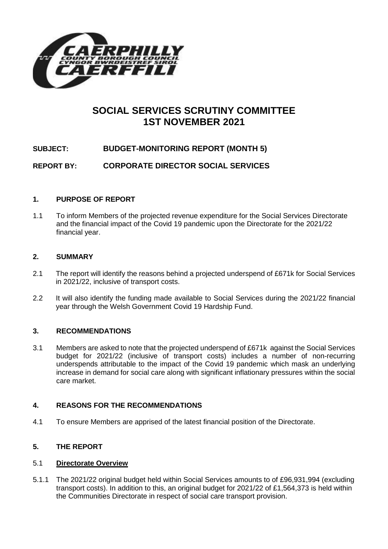

# **SOCIAL SERVICES SCRUTINY COMMITTEE 1ST NOVEMBER 2021**

# **SUBJECT: BUDGET-MONITORING REPORT (MONTH 5)**

**REPORT BY: CORPORATE DIRECTOR SOCIAL SERVICES**

### **1. PURPOSE OF REPORT**

1.1 To inform Members of the projected revenue expenditure for the Social Services Directorate and the financial impact of the Covid 19 pandemic upon the Directorate for the 2021/22 financial year.

#### **2. SUMMARY**

- 2.1 The report will identify the reasons behind a projected underspend of £671k for Social Services in 2021/22, inclusive of transport costs.
- 2.2 It will also identify the funding made available to Social Services during the 2021/22 financial year through the Welsh Government Covid 19 Hardship Fund.

### **3. RECOMMENDATIONS**

3.1 Members are asked to note that the projected underspend of £671k against the Social Services budget for 2021/22 (inclusive of transport costs) includes a number of non-recurring underspends attributable to the impact of the Covid 19 pandemic which mask an underlying increase in demand for social care along with significant inflationary pressures within the social care market.

### **4. REASONS FOR THE RECOMMENDATIONS**

4.1 To ensure Members are apprised of the latest financial position of the Directorate.

### **5. THE REPORT**

#### 5.1 **Directorate Overview**

5.1.1 The 2021/22 original budget held within Social Services amounts to of £96,931,994 (excluding transport costs). In addition to this, an original budget for 2021/22 of £1,564,373 is held within the Communities Directorate in respect of social care transport provision.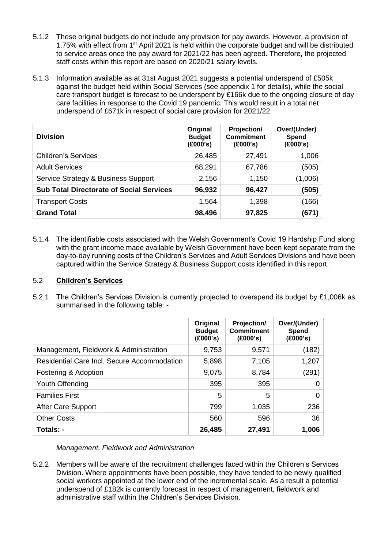- 5.1.2 These original budgets do not include any provision for pay awards. However, a provision of 1.75% with effect from 1st April 2021 is held within the corporate budget and will be distributed to service areas once the pay award for 2021/22 has been agreed. Therefore, the projected staff costs within this report are based on 2020/21 salary levels.
- 5.1.3 Information available as at 31st August 2021 suggests a potential underspend of £505k against the budget held within Social Services (see appendix 1 for details), while the social care transport budget is forecast to be underspent by £166k due to the ongoing closure of day care facilities in response to the Covid 19 pandemic. This would result in a total net underspend of £671k in respect of social care provision for 2021/22

| <b>Division</b>                                 | Original<br><b>Budget</b><br>(£000's) | Projection/<br><b>Commitment</b><br>(E000's) | Over/(Under)<br>Spend<br>(£000's) |
|-------------------------------------------------|---------------------------------------|----------------------------------------------|-----------------------------------|
| <b>Children's Services</b>                      | 26,485                                | 27,491                                       | 1,006                             |
| <b>Adult Services</b>                           | 68,291                                | 67,786                                       | (505)                             |
| Service Strategy & Business Support             | 2,156                                 | 1,150                                        | (1,006)                           |
| <b>Sub Total Directorate of Social Services</b> | 96,932                                | 96,427                                       | (505)                             |
| <b>Transport Costs</b>                          | 1,564                                 | 1,398                                        | (166)                             |
| <b>Grand Total</b>                              | 98,496                                | 97,825                                       | (671)                             |

5.1.4 The identifiable costs associated with the Welsh Government's Covid 19 Hardship Fund along with the grant income made available by Welsh Government have been kept separate from the day-to-day running costs of the Children's Services and Adult Services Divisions and have been captured within the Service Strategy & Business Support costs identified in this report.

### 5.2 **Children's Services**

5.2.1 The Children's Services Division is currently projected to overspend its budget by £1,006k as summarised in the following table: -

|                                                    | Original<br><b>Budget</b><br>(£000's) | <b>Projection/</b><br><b>Commitment</b><br>(£000's) | Over/(Under)<br>Spend<br>(E000's) |
|----------------------------------------------------|---------------------------------------|-----------------------------------------------------|-----------------------------------|
| Management, Fieldwork & Administration             | 9,753                                 | 9,571                                               | (182)                             |
| <b>Residential Care Incl. Secure Accommodation</b> | 5,898                                 | 7,105                                               | 1,207                             |
| Fostering & Adoption                               | 9,075                                 | 8,784                                               | (291)                             |
| Youth Offending                                    | 395                                   | 395                                                 | 0                                 |
| <b>Families First</b>                              | 5                                     | 5                                                   | 0                                 |
| After Care Support                                 | 799                                   | 1,035                                               | 236                               |
| <b>Other Costs</b>                                 | 560                                   | 596                                                 | 36                                |
| Totals: -                                          | 26,485                                | 27,491                                              | 1,006                             |

*Management, Fieldwork and Administration*

5.2.2 Members will be aware of the recruitment challenges faced within the Children's Services Division. Where appointments have been possible, they have tended to be newly qualified social workers appointed at the lower end of the incremental scale. As a result a potential underspend of £182k is currently forecast in respect of management, fieldwork and administrative staff within the Children's Services Division.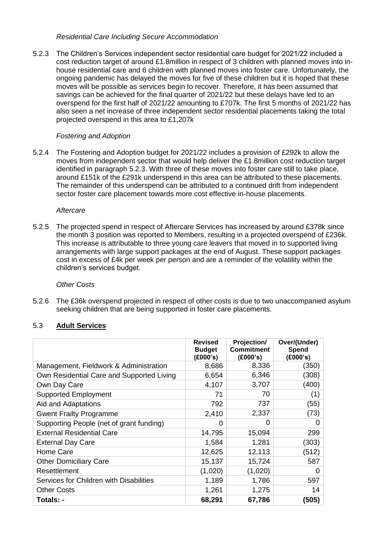#### *Residential Care Including Secure Accommodation*

5.2.3 The Children's Services independent sector residential care budget for 2021/22 included a cost reduction target of around £1.8million in respect of 3 children with planned moves into inhouse residential care and 6 children with planned moves into foster care. Unfortunately, the ongoing pandemic has delayed the moves for five of these children but it is hoped that these moves will be possible as services begin to recover. Therefore, it has been assumed that savings can be achieved for the final quarter of 2021/22 but these delays have led to an overspend for the first half of 2021/22 amounting to £707k. The first 5 months of 2021/22 has also seen a net increase of three independent sector residential placements taking the total projected overspend in this area to £1,207k

# *Fostering and Adoption*

5.2.4 The Fostering and Adoption budget for 2021/22 includes a provision of £292k to allow the moves from independent sector that would help deliver the £1.8million cost reduction target identified in paragraph 5.2.3. With three of these moves into foster care still to take place, around £151k of the £291k underspend in this area can be attributed to these placements. The remainder of this underspend can be attributed to a continued drift from independent sector foster care placement towards more cost effective in-house placements.

### *Aftercare*

5.2.5 The projected spend in respect of Aftercare Services has increased by around £378k since the month 3 position was reported to Members, resulting in a projected overspend of £236k. This increase is attributable to three young care leavers that moved in to supported living arrangements with large support packages at the end of August. These support packages cost in excess of £4k per week per person and are a reminder of the volatility within the children's services budget.

### *Other Costs*

5.2.6 The £36k overspend projected in respect of other costs is due to two unaccompanied asylum seeking children that are being supported in foster care placements.

# 5.3 **Adult Services**

|                                           | <b>Revised</b><br><b>Budget</b><br>(£000's) | Projection/<br><b>Commitment</b><br>(£000's) | Over/(Under)<br>Spend<br>(£000's) |
|-------------------------------------------|---------------------------------------------|----------------------------------------------|-----------------------------------|
| Management, Fieldwork & Administration    | 8,686                                       | 8,336                                        | (350)                             |
| Own Residential Care and Supported Living | 6,654                                       | 6,346                                        | (308)                             |
| Own Day Care                              | 4,107                                       | 3,707                                        | (400)                             |
| <b>Supported Employment</b>               | 71                                          | 70                                           | (1)                               |
| Aid and Adaptations                       | 792                                         | 737                                          | (55)                              |
| <b>Gwent Frailty Programme</b>            | 2,410                                       | 2,337                                        | (73)                              |
| Supporting People (net of grant funding)  | 0                                           | $\Omega$                                     | 0                                 |
| <b>External Residential Care</b>          | 14,795                                      | 15,094                                       | 299                               |
| <b>External Day Care</b>                  | 1,584                                       | 1,281                                        | (303)                             |
| Home Care                                 | 12,625                                      | 12,113                                       | (512)                             |
| <b>Other Domiciliary Care</b>             | 15,137                                      | 15,724                                       | 587                               |
| Resettlement                              | (1,020)                                     | (1,020)                                      | O                                 |
| Services for Children with Disabilities   | 1,189                                       | 1,786                                        | 597                               |
| <b>Other Costs</b>                        | 1,261                                       | 1,275                                        | 14                                |
| Totals: -                                 | 68,291                                      | 67,786                                       | (505)                             |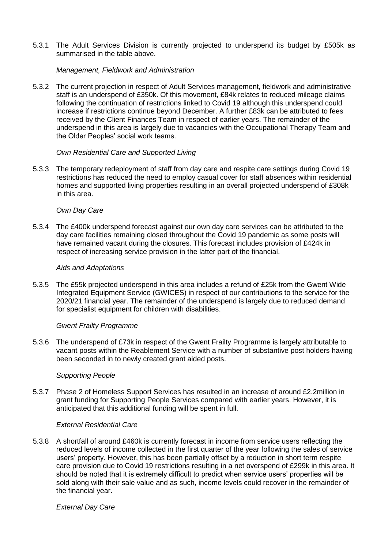5.3.1 The Adult Services Division is currently projected to underspend its budget by £505k as summarised in the table above.

#### *Management, Fieldwork and Administration*

5.3.2 The current projection in respect of Adult Services management, fieldwork and administrative staff is an underspend of £350k. Of this movement, £84k relates to reduced mileage claims following the continuation of restrictions linked to Covid 19 although this underspend could increase if restrictions continue beyond December. A further £83k can be attributed to fees received by the Client Finances Team in respect of earlier years. The remainder of the underspend in this area is largely due to vacancies with the Occupational Therapy Team and the Older Peoples' social work teams.

#### *Own Residential Care and Supported Living*

5.3.3 The temporary redeployment of staff from day care and respite care settings during Covid 19 restrictions has reduced the need to employ casual cover for staff absences within residential homes and supported living properties resulting in an overall projected underspend of £308k in this area.

#### *Own Day Care*

5.3.4 The £400k underspend forecast against our own day care services can be attributed to the day care facilities remaining closed throughout the Covid 19 pandemic as some posts will have remained vacant during the closures. This forecast includes provision of £424k in respect of increasing service provision in the latter part of the financial.

#### *Aids and Adaptations*

5.3.5 The £55k projected underspend in this area includes a refund of £25k from the Gwent Wide Integrated Equipment Service (GWICES) in respect of our contributions to the service for the 2020/21 financial year. The remainder of the underspend is largely due to reduced demand for specialist equipment for children with disabilities.

#### *Gwent Frailty Programme*

5.3.6 The underspend of £73k in respect of the Gwent Frailty Programme is largely attributable to vacant posts within the Reablement Service with a number of substantive post holders having been seconded in to newly created grant aided posts.

### *Supporting People*

5.3.7 Phase 2 of Homeless Support Services has resulted in an increase of around £2.2million in grant funding for Supporting People Services compared with earlier years. However, it is anticipated that this additional funding will be spent in full.

#### *External Residential Care*

5.3.8 A shortfall of around £460k is currently forecast in income from service users reflecting the reduced levels of income collected in the first quarter of the year following the sales of service users' property. However, this has been partially offset by a reduction in short term respite care provision due to Covid 19 restrictions resulting in a net overspend of £299k in this area. It should be noted that it is extremely difficult to predict when service users' properties will be sold along with their sale value and as such, income levels could recover in the remainder of the financial year.

#### *External Day Care*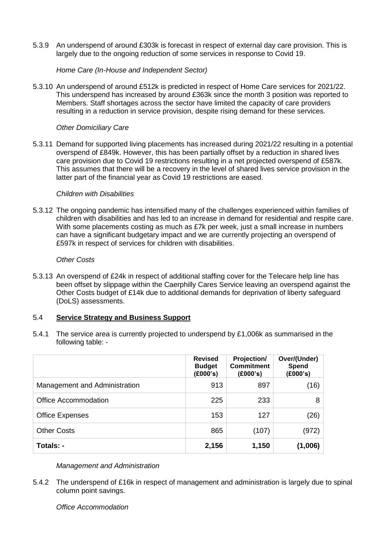5.3.9 An underspend of around £303k is forecast in respect of external day care provision. This is largely due to the ongoing reduction of some services in response to Covid 19.

*Home Care (In-House and Independent Sector)*

5.3.10 An underspend of around £512k is predicted in respect of Home Care services for 2021/22. This underspend has increased by around £363k since the month 3 position was reported to Members. Staff shortages across the sector have limited the capacity of care providers resulting in a reduction in service provision, despite rising demand for these services.

### *Other Domiciliary Care*

5.3.11 Demand for supported living placements has increased during 2021/22 resulting in a potential overspend of £849k. However, this has been partially offset by a reduction in shared lives care provision due to Covid 19 restrictions resulting in a net projected overspend of £587k. This assumes that there will be a recovery in the level of shared lives service provision in the latter part of the financial year as Covid 19 restrictions are eased.

#### *Children with Disabilities*

5.3.12 The ongoing pandemic has intensified many of the challenges experienced within families of children with disabilities and has led to an increase in demand for residential and respite care. With some placements costing as much as £7k per week, just a small increase in numbers can have a significant budgetary impact and we are currently projecting an overspend of £597k in respect of services for children with disabilities.

#### *Other Costs*

5.3.13 An overspend of £24k in respect of additional staffing cover for the Telecare help line has been offset by slippage within the Caerphilly Cares Service leaving an overspend against the Other Costs budget of £14k due to additional demands for deprivation of liberty safeguard (DoLS) assessments.

### 5.4 **Service Strategy and Business Support**

5.4.1 The service area is currently projected to underspend by £1,006k as summarised in the following table: -

|                               | <b>Revised</b><br><b>Budget</b><br>(E000's) | Projection/<br><b>Commitment</b><br>(E000's) | Over/(Under)<br><b>Spend</b><br>(£000's) |
|-------------------------------|---------------------------------------------|----------------------------------------------|------------------------------------------|
| Management and Administration | 913                                         | 897                                          | (16)                                     |
| <b>Office Accommodation</b>   | 225                                         | 233                                          | 8                                        |
| <b>Office Expenses</b>        | 153                                         | 127                                          | (26)                                     |
| <b>Other Costs</b>            | 865                                         | (107)                                        | (972)                                    |
| Totals: -                     | 2,156                                       | 1,150                                        | (1,006)                                  |

### *Management and Administration*

5.4.2 The underspend of £16k in respect of management and administration is largely due to spinal column point savings.

*Office Accommodation*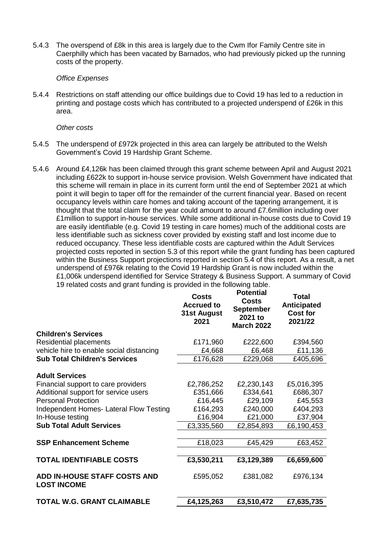5.4.3 The overspend of £8k in this area is largely due to the Cwm Ifor Family Centre site in Caerphilly which has been vacated by Barnados, who had previously picked up the running costs of the property.

#### *Office Expenses*

5.4.4 Restrictions on staff attending our office buildings due to Covid 19 has led to a reduction in printing and postage costs which has contributed to a projected underspend of £26k in this area.

#### *Other costs*

- 5.4.5 The underspend of £972k projected in this area can largely be attributed to the Welsh Government's Covid 19 Hardship Grant Scheme.
- 5.4.6 Around £4,126k has been claimed through this grant scheme between April and August 2021 including £622k to support in-house service provision. Welsh Government have indicated that this scheme will remain in place in its current form until the end of September 2021 at which point it will begin to taper off for the remainder of the current financial year. Based on recent occupancy levels within care homes and taking account of the tapering arrangement, it is thought that the total claim for the year could amount to around £7.6million including over £1million to support in-house services. While some additional in-house costs due to Covid 19 are easily identifiable (e.g. Covid 19 testing in care homes) much of the additional costs are less identifiable such as sickness cover provided by existing staff and lost income due to reduced occupancy. These less identifiable costs are captured within the Adult Services projected costs reported in section 5.3 of this report while the grant funding has been captured within the Business Support projections reported in section 5.4 of this report. As a result, a net underspend of £976k relating to the Covid 19 Hardship Grant is now included within the £1,006k underspend identified for Service Strategy & Business Support. A summary of Covid 19 related costs and grant funding is provided in the following table.

| <b>Accrued to</b><br>31st August<br>2021 | <b>Potential</b><br><b>Costs</b><br><b>September</b><br>2021 to<br><b>March 2022</b>                     | Total<br>Anticipated<br><b>Cost for</b><br>2021/22                                              |
|------------------------------------------|----------------------------------------------------------------------------------------------------------|-------------------------------------------------------------------------------------------------|
|                                          |                                                                                                          |                                                                                                 |
| £171,960                                 | £222,600                                                                                                 | £394,560                                                                                        |
| £4,668                                   | £6,468                                                                                                   | £11,136                                                                                         |
| £176,628                                 | £229,068                                                                                                 | £405,696                                                                                        |
|                                          |                                                                                                          |                                                                                                 |
|                                          |                                                                                                          | £5,016,395                                                                                      |
|                                          |                                                                                                          | £686,307                                                                                        |
|                                          |                                                                                                          | £45,553                                                                                         |
|                                          |                                                                                                          | £404,293                                                                                        |
|                                          |                                                                                                          | £37,904                                                                                         |
|                                          |                                                                                                          | £6,190,453                                                                                      |
|                                          |                                                                                                          |                                                                                                 |
|                                          |                                                                                                          | £63,452                                                                                         |
|                                          |                                                                                                          |                                                                                                 |
|                                          |                                                                                                          | £6,659,600                                                                                      |
| £595,052                                 | £381,082                                                                                                 | £976,134                                                                                        |
| £4,125,263                               | £3,510,472                                                                                               | £7,635,735                                                                                      |
|                                          | Costs<br>£2,786,252<br>£351,666<br>£16,445<br>£164,293<br>£16,904<br>£3,335,560<br>£18,023<br>£3,530,211 | £2,230,143<br>£334,641<br>£29,109<br>£240,000<br>£21,000<br>£2,854,893<br>£45,429<br>£3,129,389 |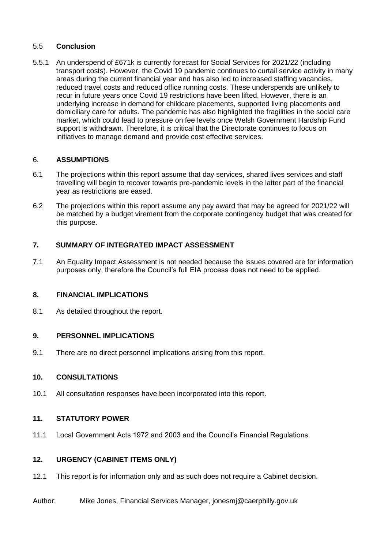# 5.5 **Conclusion**

5.5.1 An underspend of £671k is currently forecast for Social Services for 2021/22 (including transport costs). However, the Covid 19 pandemic continues to curtail service activity in many areas during the current financial year and has also led to increased staffing vacancies, reduced travel costs and reduced office running costs. These underspends are unlikely to recur in future years once Covid 19 restrictions have been lifted. However, there is an underlying increase in demand for childcare placements, supported living placements and domiciliary care for adults. The pandemic has also highlighted the fragilities in the social care market, which could lead to pressure on fee levels once Welsh Government Hardship Fund support is withdrawn. Therefore, it is critical that the Directorate continues to focus on initiatives to manage demand and provide cost effective services.

# 6. **ASSUMPTIONS**

- 6.1 The projections within this report assume that day services, shared lives services and staff travelling will begin to recover towards pre-pandemic levels in the latter part of the financial year as restrictions are eased.
- 6.2 The projections within this report assume any pay award that may be agreed for 2021/22 will be matched by a budget virement from the corporate contingency budget that was created for this purpose.

# **7. SUMMARY OF INTEGRATED IMPACT ASSESSMENT**

7.1 An Equality Impact Assessment is not needed because the issues covered are for information purposes only, therefore the Council's full EIA process does not need to be applied.

### **8. FINANCIAL IMPLICATIONS**

8.1 As detailed throughout the report.

### **9. PERSONNEL IMPLICATIONS**

9.1 There are no direct personnel implications arising from this report.

### **10. CONSULTATIONS**

10.1 All consultation responses have been incorporated into this report.

### **11. STATUTORY POWER**

11.1 Local Government Acts 1972 and 2003 and the Council's Financial Regulations.

#### **12. URGENCY (CABINET ITEMS ONLY)**

12.1 This report is for information only and as such does not require a Cabinet decision.

#### Author: Mike Jones, Financial Services Manager, jonesmj@caerphilly.gov.uk